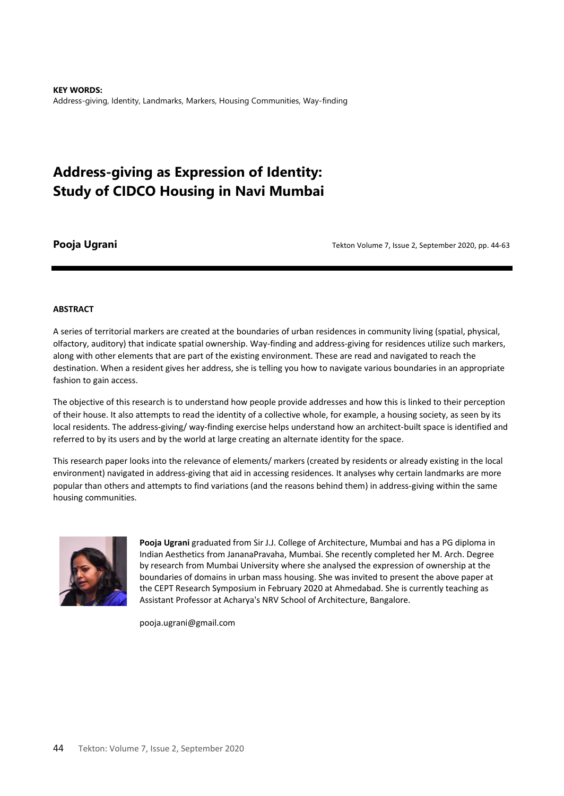**KEY WORDS:**  Address-giving, Identity, Landmarks, Markers, Housing Communities, Way-finding

# **Address-giving as Expression of Identity: Study of CIDCO Housing in Navi Mumbai**

**Pooja Ugrani Provident Coolume 7**, Issue 2, September 2020, pp. 44-63

#### **ABSTRACT**

A series of territorial markers are created at the boundaries of urban residences in community living (spatial, physical, olfactory, auditory) that indicate spatial ownership. Way-finding and address-giving for residences utilize such markers, along with other elements that are part of the existing environment. These are read and navigated to reach the destination. When a resident gives her address, she is telling you how to navigate various boundaries in an appropriate fashion to gain access.

The objective of this research is to understand how people provide addresses and how this is linked to their perception of their house. It also attempts to read the identity of a collective whole, for example, a housing society, as seen by its local residents. The address-giving/ way-finding exercise helps understand how an architect-built space is identified and referred to by its users and by the world at large creating an alternate identity for the space.

This research paper looks into the relevance of elements/ markers (created by residents or already existing in the local environment) navigated in address-giving that aid in accessing residences. It analyses why certain landmarks are more popular than others and attempts to find variations (and the reasons behind them) in address-giving within the same housing communities.



**Pooja Ugrani** graduated from Sir J.J. College of Architecture, Mumbai and has a PG diploma in Indian Aesthetics from JananaPravaha, Mumbai. She recently completed her M. Arch. Degree by research from Mumbai University where she analysed the expression of ownership at the boundaries of domains in urban mass housing. She was invited to present the above paper at the CEPT Research Symposium in February 2020 at Ahmedabad. She is currently teaching as Assistant Professor at Acharya's NRV School of Architecture, Bangalore.

pooja.ugrani@gmail.com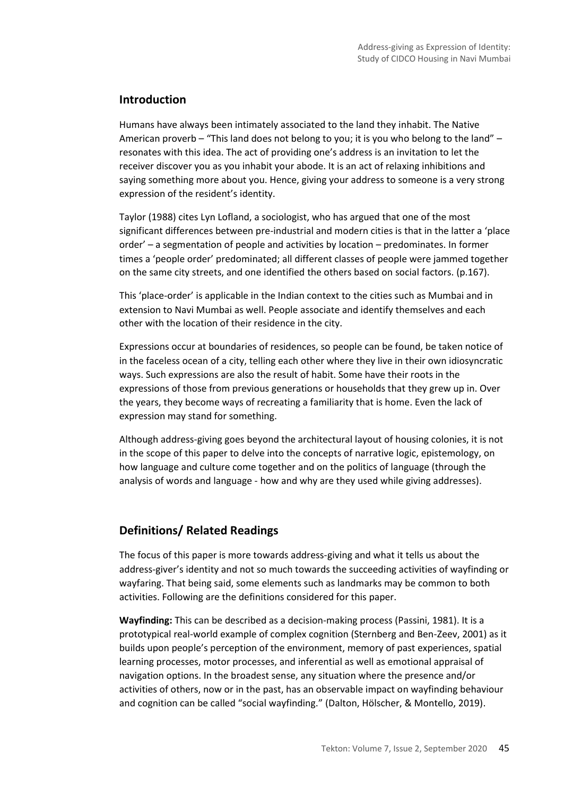## **Introduction**

Humans have always been intimately associated to the land they inhabit. The Native American proverb – "This land does not belong to you; it is you who belong to the land" – resonates with this idea. The act of providing one's address is an invitation to let the receiver discover you as you inhabit your abode. It is an act of relaxing inhibitions and saying something more about you. Hence, giving your address to someone is a very strong expression of the resident's identity.

Taylor (1988) cites Lyn Lofland, a sociologist, who has argued that one of the most significant differences between pre-industrial and modern cities is that in the latter a 'place order' – a segmentation of people and activities by location – predominates. In former times a 'people order' predominated; all different classes of people were jammed together on the same city streets, and one identified the others based on social factors. (p.167).

This 'place-order' is applicable in the Indian context to the cities such as Mumbai and in extension to Navi Mumbai as well. People associate and identify themselves and each other with the location of their residence in the city.

Expressions occur at boundaries of residences, so people can be found, be taken notice of in the faceless ocean of a city, telling each other where they live in their own idiosyncratic ways. Such expressions are also the result of habit. Some have their roots in the expressions of those from previous generations or households that they grew up in. Over the years, they become ways of recreating a familiarity that is home. Even the lack of expression may stand for something.

Although address-giving goes beyond the architectural layout of housing colonies, it is not in the scope of this paper to delve into the concepts of narrative logic, epistemology, on how language and culture come together and on the politics of language (through the analysis of words and language - how and why are they used while giving addresses).

# **Definitions/ Related Readings**

The focus of this paper is more towards address-giving and what it tells us about the address-giver's identity and not so much towards the succeeding activities of wayfinding or wayfaring. That being said, some elements such as landmarks may be common to both activities. Following are the definitions considered for this paper.

**Wayfinding:** This can be described as a decision-making process (Passini, 1981). It is a prototypical real-world example of complex cognition (Sternberg and Ben-Zeev, 2001) as it builds upon people's perception of the environment, memory of past experiences, spatial learning processes, motor processes, and inferential as well as emotional appraisal of navigation options. In the broadest sense, any situation where the presence and/or activities of others, now or in the past, has an observable impact on wayfinding behaviour and cognition can be called "social wayfinding." (Dalton, Hölscher, & Montello, 2019).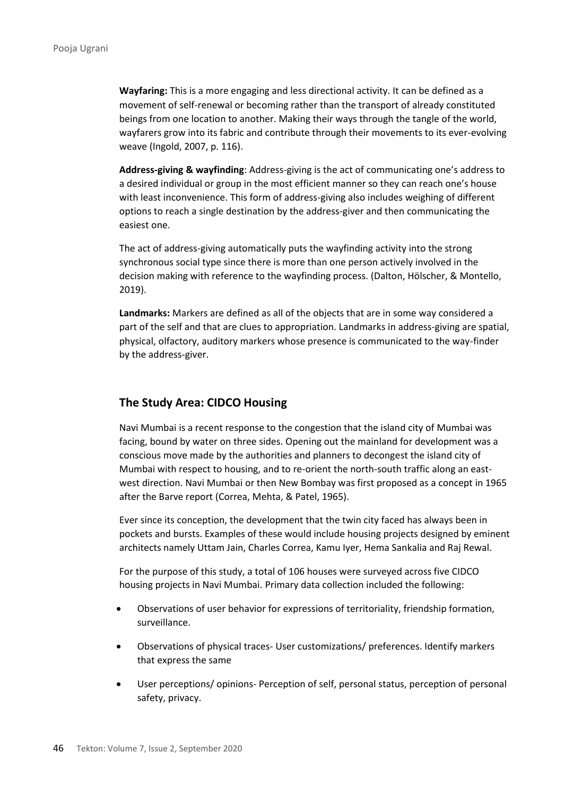**Wayfaring:** This is a more engaging and less directional activity. It can be defined as a movement of self-renewal or becoming rather than the transport of already constituted beings from one location to another. Making their ways through the tangle of the world, wayfarers grow into its fabric and contribute through their movements to its ever-evolving weave (Ingold, 2007, p. 116).

**Address-giving & wayfinding**: Address-giving is the act of communicating one's address to a desired individual or group in the most efficient manner so they can reach one's house with least inconvenience. This form of address-giving also includes weighing of different options to reach a single destination by the address-giver and then communicating the easiest one.

The act of address-giving automatically puts the wayfinding activity into the strong synchronous social type since there is more than one person actively involved in the decision making with reference to the wayfinding process. (Dalton, Hölscher, & Montello, 2019).

**Landmarks:** Markers are defined as all of the objects that are in some way considered a part of the self and that are clues to appropriation. Landmarks in address-giving are spatial, physical, olfactory, auditory markers whose presence is communicated to the way-finder by the address-giver.

### **The Study Area: CIDCO Housing**

Navi Mumbai is a recent response to the congestion that the island city of Mumbai was facing, bound by water on three sides. Opening out the mainland for development was a conscious move made by the authorities and planners to decongest the island city of Mumbai with respect to housing, and to re-orient the north-south traffic along an eastwest direction. Navi Mumbai or then New Bombay was first proposed as a concept in 1965 after the Barve report (Correa, Mehta, & Patel, 1965).

Ever since its conception, the development that the twin city faced has always been in pockets and bursts. Examples of these would include housing projects designed by eminent architects namely Uttam Jain, Charles Correa, Kamu Iyer, Hema Sankalia and Raj Rewal.

For the purpose of this study, a total of 106 houses were surveyed across five CIDCO housing projects in Navi Mumbai. Primary data collection included the following:

- Observations of user behavior for expressions of territoriality, friendship formation, surveillance.
- Observations of physical traces- User customizations/ preferences. Identify markers that express the same
- User perceptions/ opinions- Perception of self, personal status, perception of personal safety, privacy.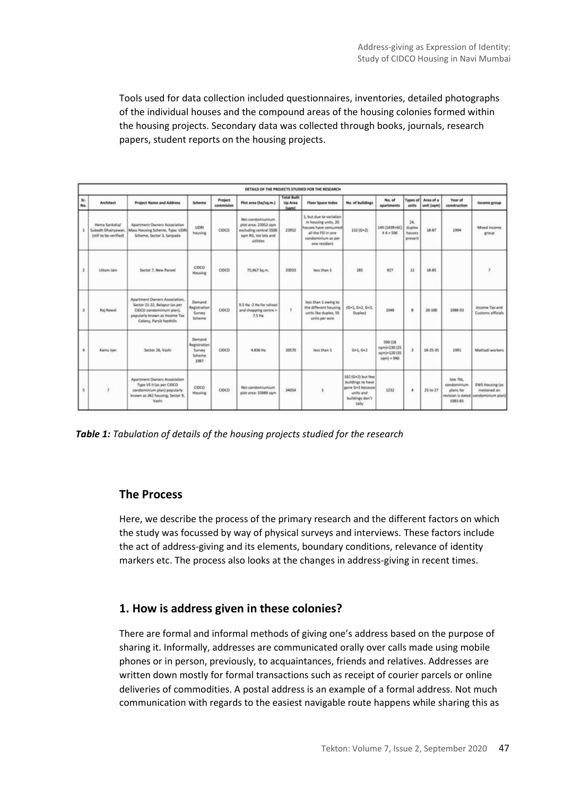Tools used for data collection included questionnaires, inventories, detailed photographs of the individual houses and the compound areas of the housing colonies formed within the housing projects. Secondary data was collected through books, journals, research papers, student reports on the housing projects.

|            |                                                                |                                                                                                                                                         |                                                    |                      |                                                                                                         | <b>Total Built</b> |                                                                                                                                     |                                                                                                             |                                                          |                                    |                                  |                                                  |                                                                              |
|------------|----------------------------------------------------------------|---------------------------------------------------------------------------------------------------------------------------------------------------------|----------------------------------------------------|----------------------|---------------------------------------------------------------------------------------------------------|--------------------|-------------------------------------------------------------------------------------------------------------------------------------|-------------------------------------------------------------------------------------------------------------|----------------------------------------------------------|------------------------------------|----------------------------------|--------------------------------------------------|------------------------------------------------------------------------------|
| še.<br>No. | <b>Architect</b>                                               | <b>Project Name and Address</b>                                                                                                                         | Scheme                                             | Project<br>commision | Plot area (ha/sq.m.)                                                                                    | Up Area<br>(spm)   | <b>Floor Space Index</b>                                                                                                            | No. of buildings                                                                                            | No. of<br>apartments                                     | units                              | Types of Area of a<br>unit (sqm) | Year of<br>construction                          | <b>Income group</b>                                                          |
| x          | Hema Sankalla/<br>Subodh Dhairyawan.<br>(still to be verified) | Apartment Owners Association<br>Mass Housing Scheme, Type: UDRI<br>Scheme, Sector 3, Sanpada                                                            | UDRI<br>housing                                    | <b>CIDCO</b>         | Net condomiumium<br>plot area: 23952 sqm<br>excluding central 3500<br>som RG, tot lots and<br>utilities | 23952              | 1. but due to variation<br>in housing units, 20<br>houses have consumed<br>all the FSI in one<br>condominium as per<br>one resident | 132 (G+2)                                                                                                   | 149 (143R+6C)<br>$X4 = 596$                              | 24.<br>duplex<br>houses<br>present | 18.87                            | 1994                                             | Mixed income<br>group                                                        |
|            | Uttam Jain                                                     | Sector 7, New Panyel                                                                                                                                    | COCO<br><b>Housing</b>                             | CIDCO                | 75.967 Sq.m.                                                                                            | 33033              | less than 1                                                                                                                         | 285                                                                                                         | 927                                                      | $\mathbf{H}$                       | 18.85                            |                                                  |                                                                              |
|            | Raj Rewal                                                      | Apartment Owners Association.<br>Sector 21-22, Belapur las per<br>CIDCO condominium plan).<br>popularly known as Income Tax<br>Colony, Parsk foothills. | Demand<br>Registration<br>Survey<br>Scheme         | CIDCO                | 9.5 Ha -2 Ha for school<br>and shopping centre »<br>$2.5$ Ha                                            | $\tau$             | less than 1 owing to<br>the different housing<br>units like duplex, 55<br>units per acre                                            | $16+1, 6+2, 6+3.$<br>Duplex)                                                                                | 1048                                                     | $\mathbf{z}$                       | 20-100                           | 1988-93                                          | Income Tax and<br>Customs officials                                          |
|            | Kamu Iver                                                      | Sector 26, Vashi                                                                                                                                        | Demand<br>Registration<br>Survey<br>Scheme<br>1987 | CIDCO                | 4.836 Hz                                                                                                | 30570              | less than 1                                                                                                                         | $G*1, G*2$                                                                                                  | 590 (18)<br>sqmJ+230 (25)<br>sqm)+120 (35)<br>som) = 940 | $\mathbf x$                        | 18-25-35                         | 1991                                             | Mathadi workers                                                              |
|            |                                                                | Apartment Owners Association<br>Type VS II (as per CIDCO<br>condominium plan) popularly<br>known as JN2 housing, Sector 9.<br>Vashi                     | CIDCO<br><b>Housing</b>                            | CIDCO                | Net condomiumium<br>plot area: 33989 som                                                                | 34054              | $\mathbf{1}$                                                                                                                        | 162 (G+2) but few<br>buildings to have<br>gone G+3 because)<br><b>Link John</b><br>buildings don't<br>tally | 1232                                                     | ×                                  | 25 to 27                         | late 70s.<br>condominium<br>plans for<br>1983-85 | <b>EWS Housing Eas</b><br>metioned on<br>revision is dated condominium plan) |

*Table 1: Tabulation of details of the housing projects studied for the research*

### **The Process**

Here, we describe the process of the primary research and the different factors on which the study was focussed by way of physical surveys and interviews. These factors include the act of address-giving and its elements, boundary conditions, relevance of identity markers etc. The process also looks at the changes in address-giving in recent times.

### **1. How is address given in these colonies?**

There are formal and informal methods of giving one's address based on the purpose of sharing it. Informally, addresses are communicated orally over calls made using mobile phones or in person, previously, to acquaintances, friends and relatives. Addresses are written down mostly for formal transactions such as receipt of courier parcels or online deliveries of commodities. A postal address is an example of a formal address. Not much communication with regards to the easiest navigable route happens while sharing this as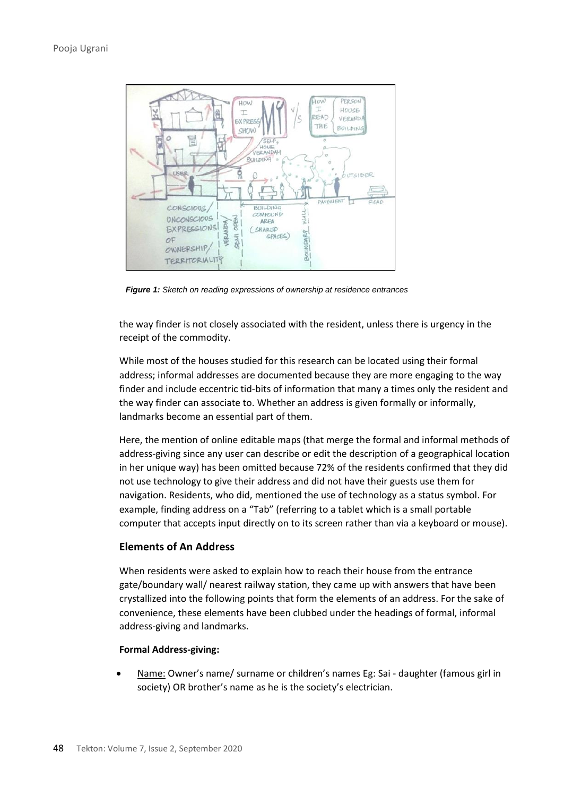

*Figure 1: Sketch on reading expressions of ownership at residence entrances*

the way finder is not closely associated with the resident, unless there is urgency in the receipt of the commodity.

While most of the houses studied for this research can be located using their formal address; informal addresses are documented because they are more engaging to the way finder and include eccentric tid-bits of information that many a times only the resident and the way finder can associate to. Whether an address is given formally or informally, landmarks become an essential part of them.

Here, the mention of online editable maps (that merge the formal and informal methods of address-giving since any user can describe or edit the description of a geographical location in her unique way) has been omitted because 72% of the residents confirmed that they did not use technology to give their address and did not have their guests use them for navigation. Residents, who did, mentioned the use of technology as a status symbol. For example, finding address on a "Tab" (referring to a tablet which is a small portable computer that accepts input directly on to its screen rather than via a keyboard or mouse).

### **Elements of An Address**

When residents were asked to explain how to reach their house from the entrance gate/boundary wall/ nearest railway station, they came up with answers that have been crystallized into the following points that form the elements of an address. For the sake of convenience, these elements have been clubbed under the headings of formal, informal address-giving and landmarks.

#### **Formal Address-giving:**

• Name: Owner's name/ surname or children's names Eg: Sai - daughter (famous girl in society) OR brother's name as he is the society's electrician.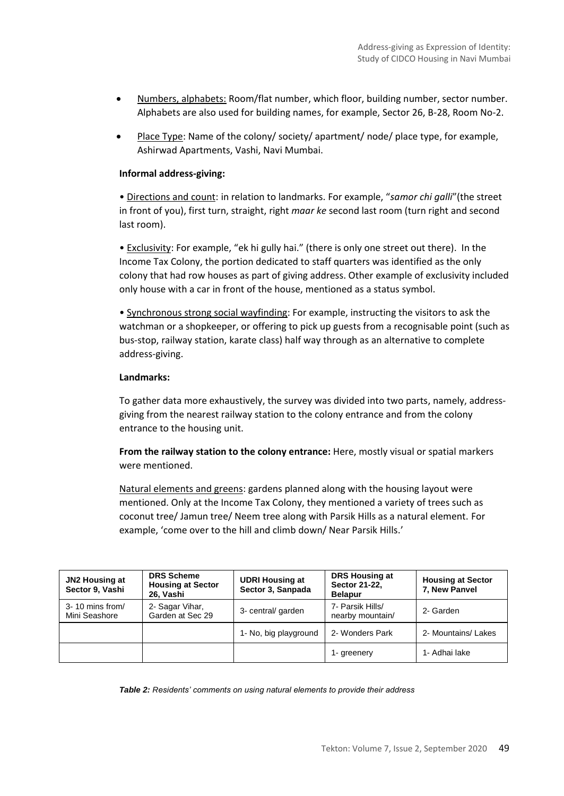- Numbers, alphabets: Room/flat number, which floor, building number, sector number. Alphabets are also used for building names, for example, Sector 26, B-28, Room No-2.
- Place Type: Name of the colony/ society/ apartment/ node/ place type, for example, Ashirwad Apartments, Vashi, Navi Mumbai.

### **Informal address-giving:**

• Directions and count: in relation to landmarks. For example, "*samor chi galli*"(the street in front of you), first turn, straight, right *maar ke* second last room (turn right and second last room).

• Exclusivity: For example, "ek hi gully hai." (there is only one street out there). In the Income Tax Colony, the portion dedicated to staff quarters was identified as the only colony that had row houses as part of giving address. Other example of exclusivity included only house with a car in front of the house, mentioned as a status symbol.

• Synchronous strong social wayfinding: For example, instructing the visitors to ask the watchman or a shopkeeper, or offering to pick up guests from a recognisable point (such as bus-stop, railway station, karate class) half way through as an alternative to complete address-giving.

#### **Landmarks:**

To gather data more exhaustively, the survey was divided into two parts, namely, addressgiving from the nearest railway station to the colony entrance and from the colony entrance to the housing unit.

**From the railway station to the colony entrance:** Here, mostly visual or spatial markers were mentioned.

Natural elements and greens: gardens planned along with the housing layout were mentioned. Only at the Income Tax Colony, they mentioned a variety of trees such as coconut tree/ Jamun tree/ Neem tree along with Parsik Hills as a natural element. For example, 'come over to the hill and climb down/ Near Parsik Hills.'

| <b>JN2 Housing at</b><br>Sector 9, Vashi | <b>DRS Scheme</b><br><b>Housing at Sector</b><br>26, Vashi | <b>UDRI Housing at</b><br>Sector 3, Sanpada | DRS Housing at<br>Sector 21-22,<br><b>Belapur</b> | <b>Housing at Sector</b><br>7, New Panvel |
|------------------------------------------|------------------------------------------------------------|---------------------------------------------|---------------------------------------------------|-------------------------------------------|
| 3-10 mins from/<br>Mini Seashore         | 2- Sagar Vihar,<br>Garden at Sec 29                        | 3- central/ garden                          | 7- Parsik Hills/<br>nearby mountain/              | 2- Garden                                 |
|                                          |                                                            | 1- No, big playground                       | 2- Wonders Park                                   | 2- Mountains/ Lakes                       |
|                                          |                                                            |                                             | 1- greenery                                       | 1- Adhai lake                             |

*Table 2: Residents' comments on using natural elements to provide their address*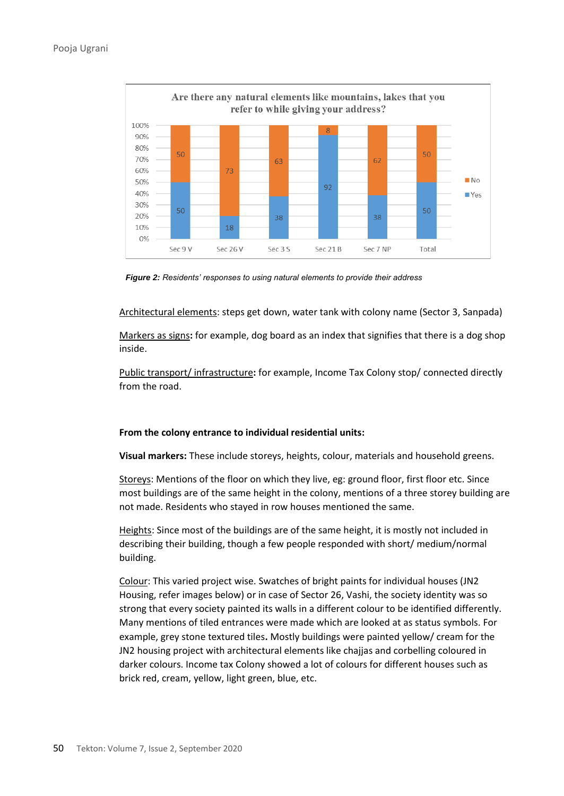

*Figure 2: Residents' responses to using natural elements to provide their address*

Architectural elements: steps get down, water tank with colony name (Sector 3, Sanpada)

Markers as signs**:** for example, dog board as an index that signifies that there is a dog shop inside.

Public transport/ infrastructure**:** for example, Income Tax Colony stop/ connected directly from the road.

#### **From the colony entrance to individual residential units:**

**Visual markers:** These include storeys, heights, colour, materials and household greens.

Storeys: Mentions of the floor on which they live, eg: ground floor, first floor etc. Since most buildings are of the same height in the colony, mentions of a three storey building are not made. Residents who stayed in row houses mentioned the same.

Heights: Since most of the buildings are of the same height, it is mostly not included in describing their building, though a few people responded with short/ medium/normal building.

Colour: This varied project wise. Swatches of bright paints for individual houses (JN2 Housing, refer images below) or in case of Sector 26, Vashi, the society identity was so strong that every society painted its walls in a different colour to be identified differently. Many mentions of tiled entrances were made which are looked at as status symbols. For example, grey stone textured tiles**.** Mostly buildings were painted yellow/ cream for the JN2 housing project with architectural elements like chajjas and corbelling coloured in darker colours. Income tax Colony showed a lot of colours for different houses such as brick red, cream, yellow, light green, blue, etc.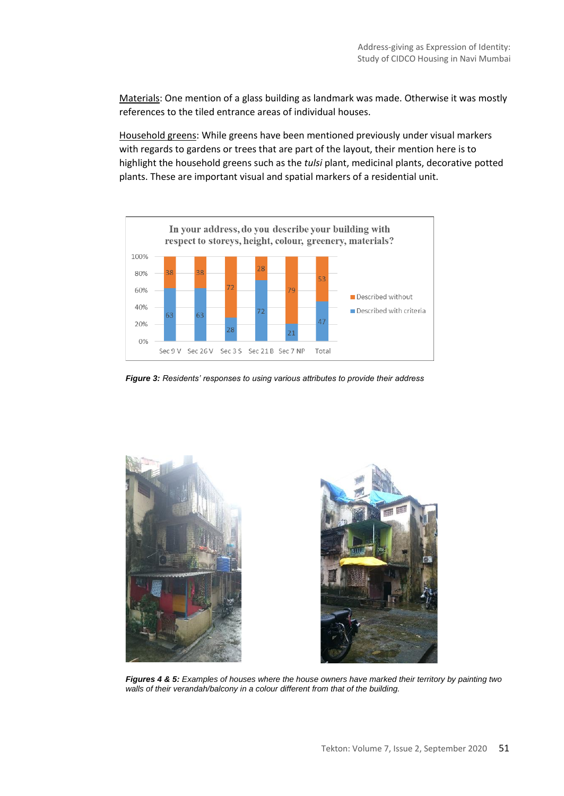Materials: One mention of a glass building as landmark was made. Otherwise it was mostly references to the tiled entrance areas of individual houses.

Household greens: While greens have been mentioned previously under visual markers with regards to gardens or trees that are part of the layout, their mention here is to highlight the household greens such as the *tulsi* plant, medicinal plants, decorative potted plants. These are important visual and spatial markers of a residential unit.



*Figure 3: Residents' responses to using various attributes to provide their address*



*Figures 4 & 5: Examples of houses where the house owners have marked their territory by painting two walls of their verandah/balcony in a colour different from that of the building.*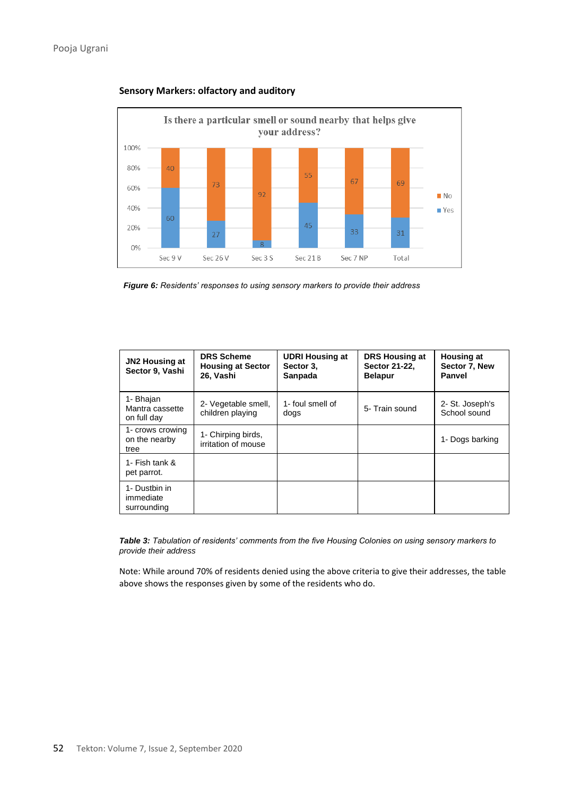

**Sensory Markers: olfactory and auditory**

*Figure 6: Residents' responses to using sensory markers to provide their address*

| <b>JN2 Housing at</b><br>Sector 9, Vashi    | <b>DRS Scheme</b><br><b>Housing at Sector</b><br>26, Vashi | <b>UDRI Housing at</b><br>Sector 3.<br>Sanpada | <b>DRS Housing at</b><br>Sector 21-22.<br><b>Belapur</b> | <b>Housing at</b><br>Sector 7. New<br>Panvel |
|---------------------------------------------|------------------------------------------------------------|------------------------------------------------|----------------------------------------------------------|----------------------------------------------|
| 1- Bhajan<br>Mantra cassette<br>on full day | 2- Vegetable smell,<br>children playing                    | 1- foul smell of<br>dogs                       | 5- Train sound                                           | 2- St. Joseph's<br>School sound              |
| 1- crows crowing<br>on the nearby<br>tree   | 1- Chirping birds,<br>irritation of mouse                  |                                                |                                                          | 1- Dogs barking                              |
| 1- Fish tank &<br>pet parrot.               |                                                            |                                                |                                                          |                                              |
| 1- Dustbin in<br>immediate<br>surrounding   |                                                            |                                                |                                                          |                                              |

*Table 3: Tabulation of residents' comments from the five Housing Colonies on using sensory markers to provide their address*

Note: While around 70% of residents denied using the above criteria to give their addresses, the table above shows the responses given by some of the residents who do.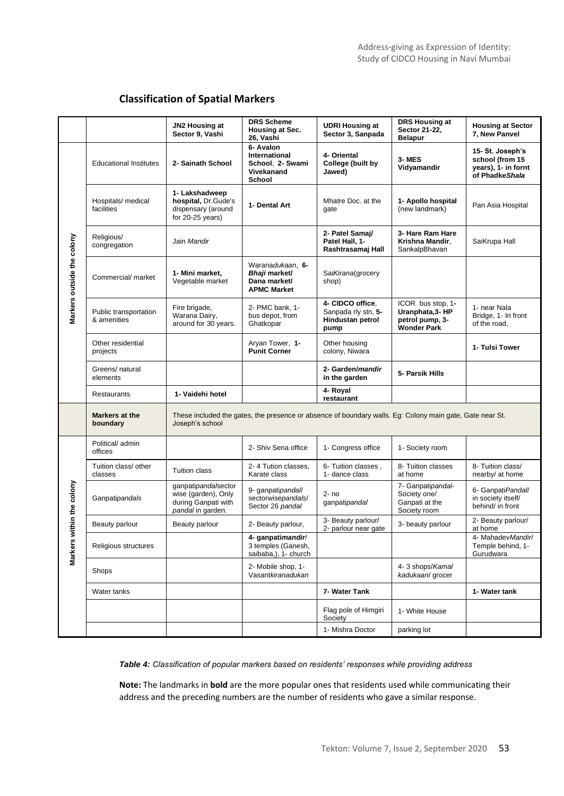### **Classification of Spatial Markers**

|                            |                                      | JN2 Housing at<br>Sector 9, Vashi                                                                                           | <b>DRS Scheme</b><br><b>Housing at Sec.</b><br>26, Vashi                | <b>UDRI Housing at</b><br>Sector 3, Sanpada                         | <b>DRS Housing at</b><br>Sector 21-22,<br><b>Belapur</b>                       | <b>Housing at Sector</b><br>7, New Panvel                                    |
|----------------------------|--------------------------------------|-----------------------------------------------------------------------------------------------------------------------------|-------------------------------------------------------------------------|---------------------------------------------------------------------|--------------------------------------------------------------------------------|------------------------------------------------------------------------------|
|                            | <b>Educational Institutes</b>        | 2- Sainath School                                                                                                           | 6- Avalon<br>International<br>School, 2- Swami<br>Vivekanand<br>School  | 4- Oriental<br>College (built by<br>Jawed)                          | 3-MES<br>Vidyamandir                                                           | 15-St. Joseph's<br>school (from 15<br>years), 1- in fornt<br>of Phadke Shala |
|                            | Hospitals/ medical<br>facilities     | 1- Lakshadweep<br>hospital, Dr.Gude's<br>dispensary (around<br>for $20-25$ years)                                           | 1- Dental Art                                                           | Mhatre Doc. at the<br>qate                                          | 1- Apollo hospital<br>(new landmark)                                           | Pan Asia Hospital                                                            |
|                            | Religious/<br>congregation           | Jain Mandir                                                                                                                 |                                                                         | 2- Patel Samaj/<br>Patel Hall, 1-<br>Rashtrasamaj Hall              | 3- Hare Ram Hare<br>Krishna Mandir,<br>SankalpBhavan                           | SaiKrupa Hall                                                                |
| Markers outside the colony | Commercial/ market                   | 1- Mini market.<br>Vegetable market                                                                                         | Waranadukaan, 6-<br>Bhaii market/<br>Dana market/<br><b>APMC Market</b> | SaiKirana(grocery<br>shop)                                          |                                                                                |                                                                              |
|                            | Public transportation<br>& amenities | Fire brigade,<br>Warana Dairy,<br>around for 30 years.                                                                      | 2- PMC bank, 1-<br>bus depot, from<br>Ghatkopar                         | 4- CIDCO office.<br>Sanpada rly stn, 5-<br>Hindustan petrol<br>pump | ICOR bus stop, 1-<br>Uranphata, 3- HP<br>petrol pump, 3-<br><b>Wonder Park</b> | 1- near Nala<br>Bridge, 1- In front<br>of the road,                          |
|                            | Other residential<br>projects        |                                                                                                                             | Aryan Tower, 1-<br><b>Punit Corner</b>                                  | Other housing<br>colony, Niwara                                     |                                                                                | 1- Tulsi Tower                                                               |
|                            | Greens/ natural<br>elements          |                                                                                                                             |                                                                         | 2- Garden/mandir<br>in the garden                                   | 5- Parsik Hills                                                                |                                                                              |
|                            | Restaurants                          | 1- Vaidehi hotel                                                                                                            |                                                                         | 4- Royal<br>restaurant                                              |                                                                                |                                                                              |
|                            | Markers at the<br>boundary           | These included the gates, the presence or absence of boundary walls. Eg: Colony main gate, Gate near St.<br>Joseph's school |                                                                         |                                                                     |                                                                                |                                                                              |
|                            | Political/admin<br>offices           |                                                                                                                             | 2- Shiv Sena office                                                     | 1- Congress office                                                  | 1- Society room                                                                |                                                                              |
|                            | Tuition class/ other<br>classes      | Tuition class                                                                                                               | 2-4 Tution classes,<br>Karate class                                     | 6- Tuition classes,<br>1- dance class                               | 8- Tuition classes<br>at home                                                  | 8- Tuition class/<br>nearby/ at home                                         |
| Markers within the colony  | Ganpatipandals                       | ganpatipandalsector<br>wise (garden), Only<br>during Ganpati with<br>pandal in garden.                                      | 9- qanpatipandall<br>sectorwisepandals/<br>Sector 26 pandal             | $2 - no$<br>ganpatipandal                                           | 7- Ganpatipandal-<br>Society one/<br>Ganpati at the<br>Society room            | 6- Ganpati Pandall<br>in society itself/<br>behind/ in front                 |
|                            | Beauty parlour                       | Beauty parlour                                                                                                              | 2- Beauty parlour,                                                      | 3- Beauty parlour/<br>2- parlour near gate                          | 3- beauty parlour                                                              | 2- Beauty parlour/<br>at home                                                |
|                            | Religious structures                 |                                                                                                                             | 4- ganpatimandir/<br>3 temples (Ganesh,<br>saibaba,), 1- church         |                                                                     |                                                                                | 4- Mahadev Mandirl<br>Temple behind, 1-<br>Gurudwara                         |
|                            | Shops                                |                                                                                                                             | 2- Mobile shop, 1-<br>Vasantkiranadukan                                 |                                                                     | 4-3 shops/Kamal<br>kadukaan/ grocer                                            |                                                                              |
|                            | Water tanks                          |                                                                                                                             |                                                                         | 7- Water Tank                                                       |                                                                                | 1- Water tank                                                                |
|                            |                                      |                                                                                                                             |                                                                         | Flag pole of Himgiri<br>Society                                     | 1- White House                                                                 |                                                                              |
|                            |                                      |                                                                                                                             |                                                                         | 1- Mishra Doctor                                                    | parking lot                                                                    |                                                                              |

*Table 4: Classification of popular markers based on residents' responses while providing address*

**Note:** The landmarks in **bold** are the more popular ones that residents used while communicating their address and the preceding numbers are the number of residents who gave a similar response.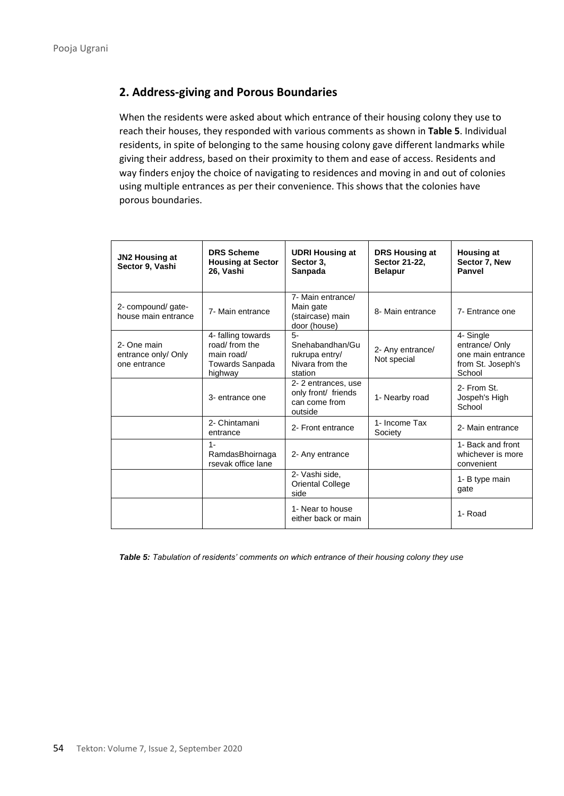# **2. Address-giving and Porous Boundaries**

When the residents were asked about which entrance of their housing colony they use to reach their houses, they responded with various comments as shown in **Table 5**. Individual residents, in spite of belonging to the same housing colony gave different landmarks while giving their address, based on their proximity to them and ease of access. Residents and way finders enjoy the choice of navigating to residences and moving in and out of colonies using multiple entrances as per their convenience. This shows that the colonies have porous boundaries.

| JN2 Housing at<br>Sector 9, Vashi                  | <b>DRS Scheme</b><br><b>Housing at Sector</b><br>26, Vashi                       | <b>UDRI Housing at</b><br>Sector 3.<br>Sanpada                        | DRS Housing at<br>Sector 21-22.<br><b>Belapur</b> | <b>Housing at</b><br>Sector 7, New<br>Panvel                                    |
|----------------------------------------------------|----------------------------------------------------------------------------------|-----------------------------------------------------------------------|---------------------------------------------------|---------------------------------------------------------------------------------|
| 2- compound/ gate-<br>house main entrance          | 7- Main entrance                                                                 | 7- Main entrance/<br>Main gate<br>(staircase) main<br>door (house)    | 8- Main entrance                                  | 7- Entrance one                                                                 |
| 2- One main<br>entrance only/ Only<br>one entrance | 4- falling towards<br>road/ from the<br>main road/<br>Towards Sanpada<br>highway | 5-<br>Snehabandhan/Gu<br>rukrupa entry/<br>Nivara from the<br>station | 2- Any entrance/<br>Not special                   | 4- Single<br>entrance/ Only<br>one main entrance<br>from St. Joseph's<br>School |
|                                                    | 3- entrance one                                                                  | 2-2 entrances, use<br>only front/ friends<br>can come from<br>outside | 1- Nearby road                                    | 2- From St.<br>Jospeh's High<br>School                                          |
|                                                    | 2- Chintamani<br>entrance                                                        | 2- Front entrance                                                     | 1- Income Tax<br>Society                          | 2- Main entrance                                                                |
|                                                    | $1 -$<br>RamdasBhoirnaga<br>rsevak office lane                                   | 2- Any entrance                                                       |                                                   | 1- Back and front<br>whichever is more<br>convenient                            |
|                                                    |                                                                                  | 2- Vashi side,<br><b>Oriental College</b><br>side                     |                                                   | 1- B type main<br>gate                                                          |
|                                                    |                                                                                  | 1- Near to house<br>either back or main                               |                                                   | 1- Road                                                                         |

*Table 5: Tabulation of residents' comments on which entrance of their housing colony they use*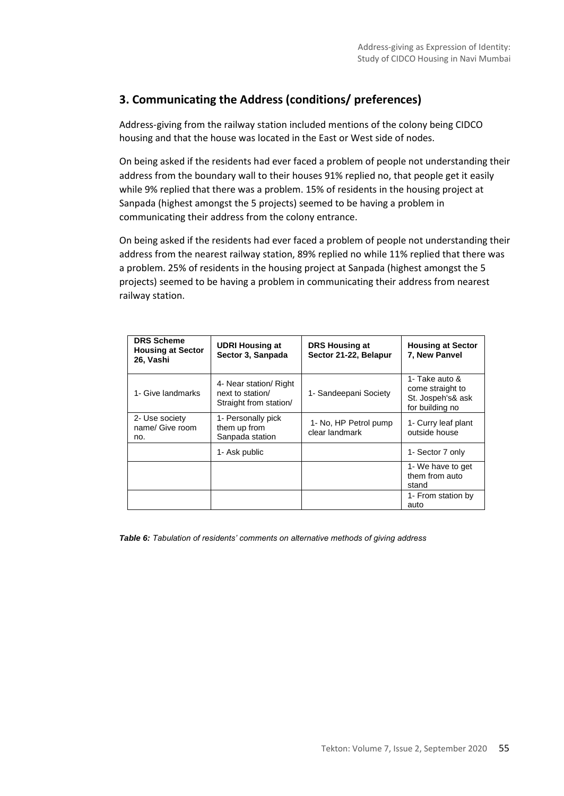# **3. Communicating the Address (conditions/ preferences)**

Address-giving from the railway station included mentions of the colony being CIDCO housing and that the house was located in the East or West side of nodes.

On being asked if the residents had ever faced a problem of people not understanding their address from the boundary wall to their houses 91% replied no, that people get it easily while 9% replied that there was a problem. 15% of residents in the housing project at Sanpada (highest amongst the 5 projects) seemed to be having a problem in communicating their address from the colony entrance.

On being asked if the residents had ever faced a problem of people not understanding their address from the nearest railway station, 89% replied no while 11% replied that there was a problem. 25% of residents in the housing project at Sanpada (highest amongst the 5 projects) seemed to be having a problem in communicating their address from nearest railway station.

| <b>DRS Scheme</b><br><b>Housing at Sector</b><br>26, Vashi | <b>UDRI Housing at</b><br>Sector 3, Sanpada                          | <b>DRS Housing at</b><br>Sector 21-22, Belapur | <b>Housing at Sector</b><br>7, New Panvel                                  |
|------------------------------------------------------------|----------------------------------------------------------------------|------------------------------------------------|----------------------------------------------------------------------------|
| 1- Give landmarks                                          | 4- Near station/ Right<br>next to station/<br>Straight from station/ | 1- Sandeepani Society                          | 1- Take auto &<br>come straight to<br>St. Jospeh's& ask<br>for building no |
| 2- Use society<br>name/ Give room<br>no.                   | 1- Personally pick<br>them up from<br>Sanpada station                | 1- No, HP Petrol pump<br>clear landmark        | 1- Curry leaf plant<br>outside house                                       |
|                                                            | 1- Ask public                                                        |                                                | 1- Sector 7 only                                                           |
|                                                            |                                                                      |                                                | 1- We have to get<br>them from auto<br>stand                               |
|                                                            |                                                                      |                                                | 1- From station by<br>auto                                                 |

*Table 6: Tabulation of residents' comments on alternative methods of giving address*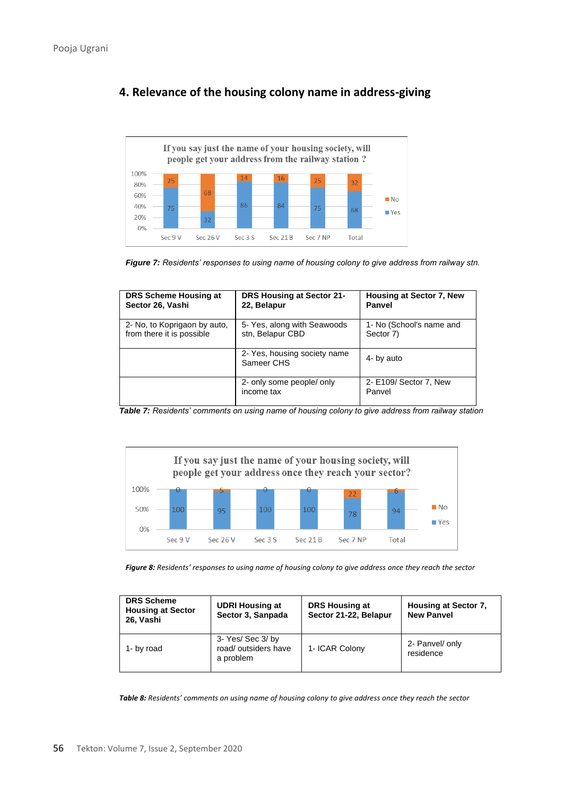

# **4. Relevance of the housing colony name in address-giving**

*Figure 7: Residents' responses to using name of housing colony to give address from railway stn.*

| DRS Scheme Housing at        | DRS Housing at Sector 21-                  | Housing at Sector 7, New         |
|------------------------------|--------------------------------------------|----------------------------------|
| Sector 26, Vashi             | 22, Belapur                                | Panvel                           |
| 2- No, to Koprigaon by auto, | 5- Yes, along with Seawoods                | 1- No (School's name and         |
| from there it is possible    | stn, Belapur CBD                           | Sector 7)                        |
|                              | 2- Yes, housing society name<br>Sameer CHS | 4- by auto                       |
|                              | 2- only some people/ only<br>income tax    | 2- E109/ Sector 7, New<br>Panvel |

*Table 7: Residents' comments on using name of housing colony to give address from railway station*



*Figure 8: Residents' responses to using name of housing colony to give address once they reach the sector*

| <b>DRS Scheme</b><br><b>Housing at Sector</b><br>26. Vashi | <b>UDRI Housing at</b><br>Sector 3, Sanpada           | DRS Housing at<br>Sector 21-22, Belapur | Housing at Sector 7.<br><b>New Panvel</b> |
|------------------------------------------------------------|-------------------------------------------------------|-----------------------------------------|-------------------------------------------|
| 1- by road                                                 | 3- Yes/ Sec 3/ by<br>road/outsiders have<br>a problem | 1- ICAR Colony                          | 2- Panvel/ only<br>residence              |

*Table 8: Residents' comments on using name of housing colony to give address once they reach the sector*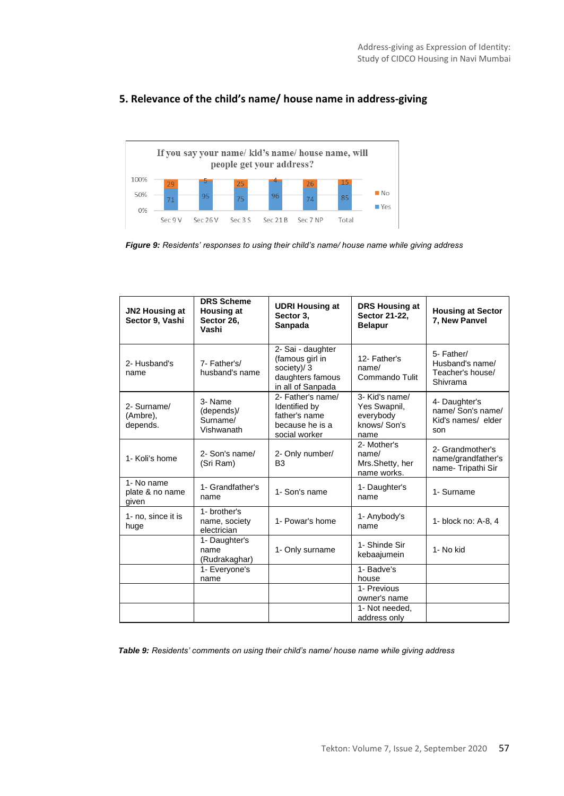

### **5. Relevance of the child's name/ house name in address-giving**

*Figure 9: Residents' responses to using their child's name/ house name while giving address*

| JN2 Housing at<br>Sector 9, Vashi      | <b>DRS Scheme</b><br><b>Housing at</b><br>Sector 26.<br>Vashi | <b>UDRI Housing at</b><br>Sector 3,<br>Sanpada                                              | <b>DRS Housing at</b><br>Sector 21-22,<br><b>Belapur</b>           | <b>Housing at Sector</b><br>7. New Panvel                       |
|----------------------------------------|---------------------------------------------------------------|---------------------------------------------------------------------------------------------|--------------------------------------------------------------------|-----------------------------------------------------------------|
| 2- Husband's<br>name                   | 7- Father's/<br>husband's name                                | 2- Sai - daughter<br>(famous girl in<br>society)/3<br>daughters famous<br>in all of Sanpada | 12- Father's<br>name/<br>Commando Tulit                            | 5- Father/<br>Husband's name/<br>Teacher's house/<br>Shivrama   |
| 2- Surname/<br>(Ambre),<br>depends.    | 3- Name<br>(depends)/<br>Surname/<br>Vishwanath               | 2- Father's name/<br>Identified by<br>father's name<br>because he is a<br>social worker     | 3- Kid's name/<br>Yes Swapnil,<br>everybody<br>knows/Son's<br>name | 4- Daughter's<br>name/ Son's name/<br>Kid's names/ elder<br>son |
| 1- Koli's home                         | 2- Son's name/<br>(Sri Ram)                                   | 2- Only number/<br>B <sub>3</sub>                                                           | 2- Mother's<br>name/<br>Mrs.Shetty, her<br>name works.             | 2- Grandmother's<br>name/grandfather's<br>name- Tripathi Sir    |
| 1- No name<br>plate & no name<br>given | 1- Grandfather's<br>name                                      | 1- Son's name                                                                               | 1- Daughter's<br>name                                              | 1- Surname                                                      |
| 1- no. since it is<br>huge             | 1- brother's<br>name, society<br>electrician                  | 1- Powar's home                                                                             | 1- Anybody's<br>name                                               | 1- block no: A-8, 4                                             |
|                                        | 1- Daughter's<br>name<br>(Rudrakaghar)                        | 1- Only surname                                                                             | 1- Shinde Sir<br>kebaajumein                                       | 1- No kid                                                       |
|                                        | 1- Everyone's<br>name                                         |                                                                                             | 1- Badve's<br>house                                                |                                                                 |
|                                        |                                                               |                                                                                             | 1- Previous<br>owner's name                                        |                                                                 |
|                                        |                                                               |                                                                                             | 1- Not needed.<br>address only                                     |                                                                 |

*Table 9: Residents' comments on using their child's name/ house name while giving address*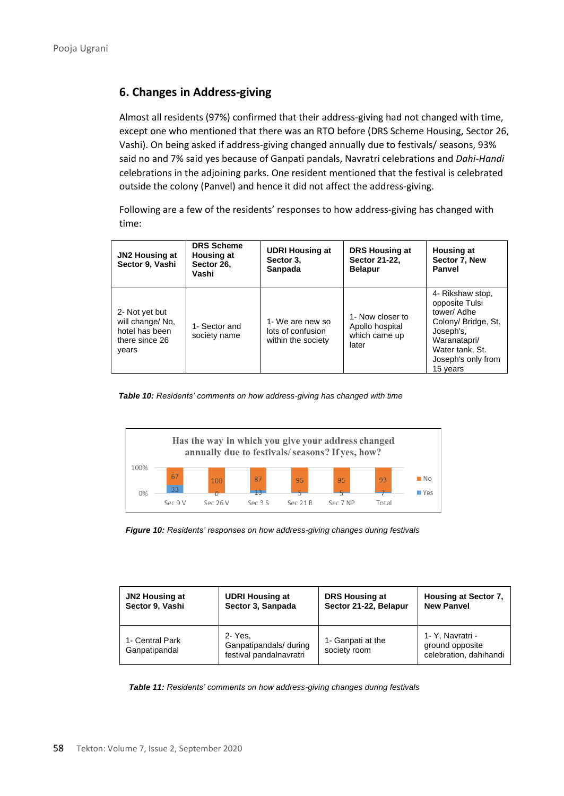# **6. Changes in Address-giving**

Almost all residents (97%) confirmed that their address-giving had not changed with time, except one who mentioned that there was an RTO before (DRS Scheme Housing, Sector 26, Vashi). On being asked if address-giving changed annually due to festivals/ seasons, 93% said no and 7% said yes because of Ganpati pandals, Navratri celebrations and *Dahi-Handi* celebrations in the adjoining parks. One resident mentioned that the festival is celebrated outside the colony (Panvel) and hence it did not affect the address-giving.

Following are a few of the residents' responses to how address-giving has changed with time:

| JN2 Housing at<br>Sector 9, Vashi                                               | <b>DRS Scheme</b><br><b>Housing at</b><br>Sector 26,<br>Vashi | <b>UDRI Housing at</b><br>Sector 3.<br>Sanpada              | DRS Housing at<br>Sector 21-22.<br><b>Belapur</b>             | <b>Housing at</b><br>Sector 7, New<br>Panvel                                                                                                               |
|---------------------------------------------------------------------------------|---------------------------------------------------------------|-------------------------------------------------------------|---------------------------------------------------------------|------------------------------------------------------------------------------------------------------------------------------------------------------------|
| 2- Not yet but<br>will change/ No.<br>hotel has been<br>there since 26<br>years | 1- Sector and<br>society name                                 | 1- We are new so<br>lots of confusion<br>within the society | 1- Now closer to<br>Apollo hospital<br>which came up<br>later | 4- Rikshaw stop,<br>opposite Tulsi<br>tower/ Adhe<br>Colony/ Bridge, St.<br>Joseph's,<br>Waranatapri/<br>Water tank, St.<br>Joseph's only from<br>15 years |

*Table 10: Residents' comments on how address-giving has changed with time*





| <b>JN2 Housing at</b>            | <b>UDRI Housing at</b>                                       | <b>DRS Housing at</b>             | Housing at Sector 7,                                          |
|----------------------------------|--------------------------------------------------------------|-----------------------------------|---------------------------------------------------------------|
| Sector 9, Vashi                  | Sector 3, Sanpada                                            | Sector 21-22, Belapur             | <b>New Panvel</b>                                             |
| 1- Central Park<br>Ganpatipandal | 2- Yes.<br>Ganpatipandals/ during<br>festival pandalnavratri | 1- Ganpati at the<br>society room | 1- Y, Navratri -<br>ground opposite<br>celebration, dahihandi |

*Table 11: Residents' comments on how address-giving changes during festivals*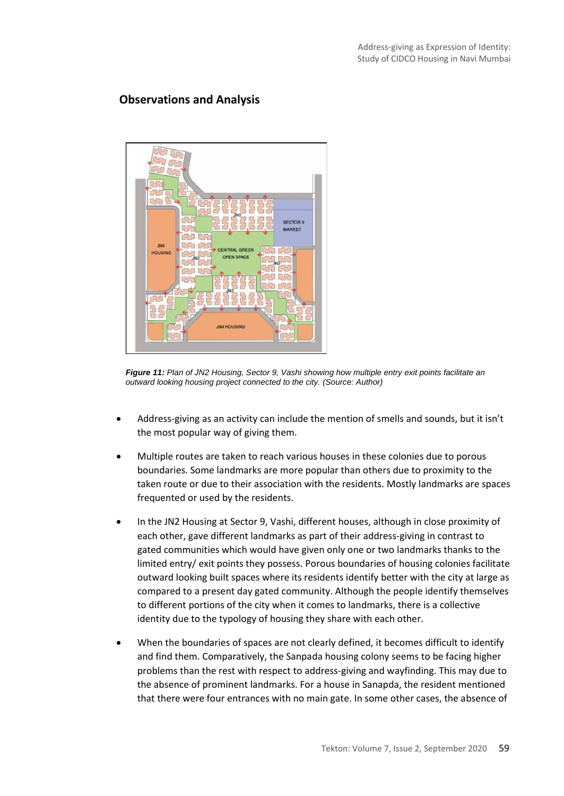## **Observations and Analysis**



*Figure 11: Plan of JN2 Housing, Sector 9, Vashi showing how multiple entry exit points facilitate an outward looking housing project connected to the city. (Source: Author)*

- Address-giving as an activity can include the mention of smells and sounds, but it isn't the most popular way of giving them.
- Multiple routes are taken to reach various houses in these colonies due to porous boundaries. Some landmarks are more popular than others due to proximity to the taken route or due to their association with the residents. Mostly landmarks are spaces frequented or used by the residents.
- In the JN2 Housing at Sector 9, Vashi, different houses, although in close proximity of each other, gave different landmarks as part of their address-giving in contrast to gated communities which would have given only one or two landmarks thanks to the limited entry/ exit points they possess. Porous boundaries of housing colonies facilitate outward looking built spaces where its residents identify better with the city at large as compared to a present day gated community. Although the people identify themselves to different portions of the city when it comes to landmarks, there is a collective identity due to the typology of housing they share with each other.
- When the boundaries of spaces are not clearly defined, it becomes difficult to identify and find them. Comparatively, the Sanpada housing colony seems to be facing higher problems than the rest with respect to address-giving and wayfinding. This may due to the absence of prominent landmarks. For a house in Sanapda, the resident mentioned that there were four entrances with no main gate. In some other cases, the absence of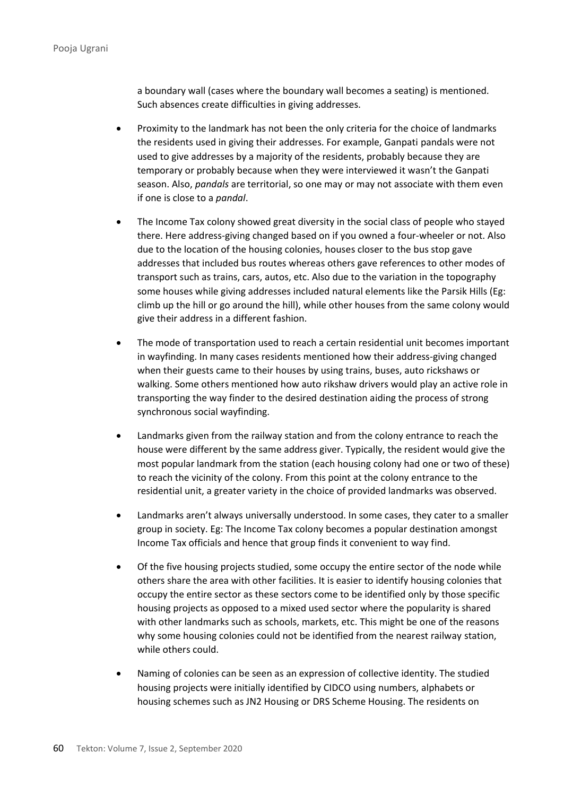a boundary wall (cases where the boundary wall becomes a seating) is mentioned. Such absences create difficulties in giving addresses.

- Proximity to the landmark has not been the only criteria for the choice of landmarks the residents used in giving their addresses. For example, Ganpati pandals were not used to give addresses by a majority of the residents, probably because they are temporary or probably because when they were interviewed it wasn't the Ganpati season. Also, *pandals* are territorial, so one may or may not associate with them even if one is close to a *pandal*.
- The Income Tax colony showed great diversity in the social class of people who stayed there. Here address-giving changed based on if you owned a four-wheeler or not. Also due to the location of the housing colonies, houses closer to the bus stop gave addresses that included bus routes whereas others gave references to other modes of transport such as trains, cars, autos, etc. Also due to the variation in the topography some houses while giving addresses included natural elements like the Parsik Hills (Eg: climb up the hill or go around the hill), while other houses from the same colony would give their address in a different fashion.
- The mode of transportation used to reach a certain residential unit becomes important in wayfinding. In many cases residents mentioned how their address-giving changed when their guests came to their houses by using trains, buses, auto rickshaws or walking. Some others mentioned how auto rikshaw drivers would play an active role in transporting the way finder to the desired destination aiding the process of strong synchronous social wayfinding.
- Landmarks given from the railway station and from the colony entrance to reach the house were different by the same address giver. Typically, the resident would give the most popular landmark from the station (each housing colony had one or two of these) to reach the vicinity of the colony. From this point at the colony entrance to the residential unit, a greater variety in the choice of provided landmarks was observed.
- Landmarks aren't always universally understood. In some cases, they cater to a smaller group in society. Eg: The Income Tax colony becomes a popular destination amongst Income Tax officials and hence that group finds it convenient to way find.
- Of the five housing projects studied, some occupy the entire sector of the node while others share the area with other facilities. It is easier to identify housing colonies that occupy the entire sector as these sectors come to be identified only by those specific housing projects as opposed to a mixed used sector where the popularity is shared with other landmarks such as schools, markets, etc. This might be one of the reasons why some housing colonies could not be identified from the nearest railway station, while others could.
- Naming of colonies can be seen as an expression of collective identity. The studied housing projects were initially identified by CIDCO using numbers, alphabets or housing schemes such as JN2 Housing or DRS Scheme Housing. The residents on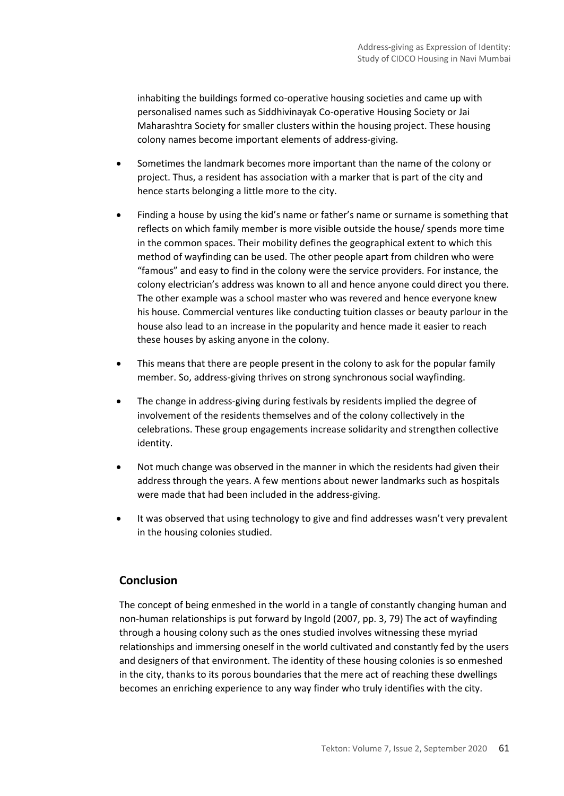inhabiting the buildings formed co-operative housing societies and came up with personalised names such as Siddhivinayak Co-operative Housing Society or Jai Maharashtra Society for smaller clusters within the housing project. These housing colony names become important elements of address-giving.

- Sometimes the landmark becomes more important than the name of the colony or project. Thus, a resident has association with a marker that is part of the city and hence starts belonging a little more to the city.
- Finding a house by using the kid's name or father's name or surname is something that reflects on which family member is more visible outside the house/ spends more time in the common spaces. Their mobility defines the geographical extent to which this method of wayfinding can be used. The other people apart from children who were "famous" and easy to find in the colony were the service providers. For instance, the colony electrician's address was known to all and hence anyone could direct you there. The other example was a school master who was revered and hence everyone knew his house. Commercial ventures like conducting tuition classes or beauty parlour in the house also lead to an increase in the popularity and hence made it easier to reach these houses by asking anyone in the colony.
- This means that there are people present in the colony to ask for the popular family member. So, address-giving thrives on strong synchronous social wayfinding.
- The change in address-giving during festivals by residents implied the degree of involvement of the residents themselves and of the colony collectively in the celebrations. These group engagements increase solidarity and strengthen collective identity.
- Not much change was observed in the manner in which the residents had given their address through the years. A few mentions about newer landmarks such as hospitals were made that had been included in the address-giving.
- It was observed that using technology to give and find addresses wasn't very prevalent in the housing colonies studied.

# **Conclusion**

The concept of being enmeshed in the world in a tangle of constantly changing human and non‐human relationships is put forward by Ingold (2007, pp. 3, 79) The act of wayfinding through a housing colony such as the ones studied involves witnessing these myriad relationships and immersing oneself in the world cultivated and constantly fed by the users and designers of that environment. The identity of these housing colonies is so enmeshed in the city, thanks to its porous boundaries that the mere act of reaching these dwellings becomes an enriching experience to any way finder who truly identifies with the city.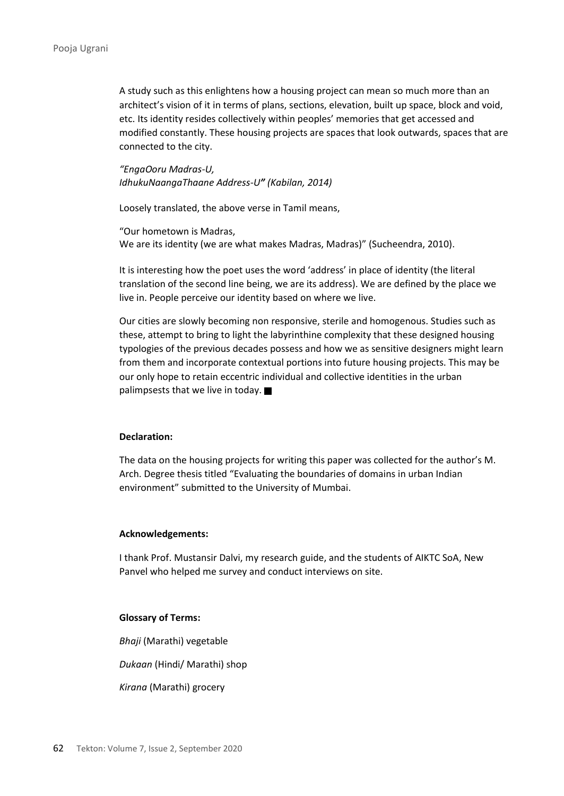A study such as this enlightens how a housing project can mean so much more than an architect's vision of it in terms of plans, sections, elevation, built up space, block and void, etc. Its identity resides collectively within peoples' memories that get accessed and modified constantly. These housing projects are spaces that look outwards, spaces that are connected to the city.

*"EngaOoru Madras-U, IdhukuNaangaThaane Address-U" (Kabilan, 2014)*

Loosely translated, the above verse in Tamil means,

"Our hometown is Madras, We are its identity (we are what makes Madras, Madras)" (Sucheendra, 2010).

It is interesting how the poet uses the word 'address' in place of identity (the literal translation of the second line being, we are its address). We are defined by the place we live in. People perceive our identity based on where we live.

Our cities are slowly becoming non responsive, sterile and homogenous. Studies such as these, attempt to bring to light the labyrinthine complexity that these designed housing typologies of the previous decades possess and how we as sensitive designers might learn from them and incorporate contextual portions into future housing projects. This may be our only hope to retain eccentric individual and collective identities in the urban palimpsests that we live in today.  $\blacksquare$ 

#### **Declaration:**

The data on the housing projects for writing this paper was collected for the author's M. Arch. Degree thesis titled "Evaluating the boundaries of domains in urban Indian environment" submitted to the University of Mumbai.

#### **Acknowledgements:**

I thank Prof. Mustansir Dalvi, my research guide, and the students of AIKTC SoA, New Panvel who helped me survey and conduct interviews on site.

#### **Glossary of Terms:**

*Bhaji* (Marathi) vegetable

*Dukaan* (Hindi/ Marathi) shop

*Kirana* (Marathi) grocery